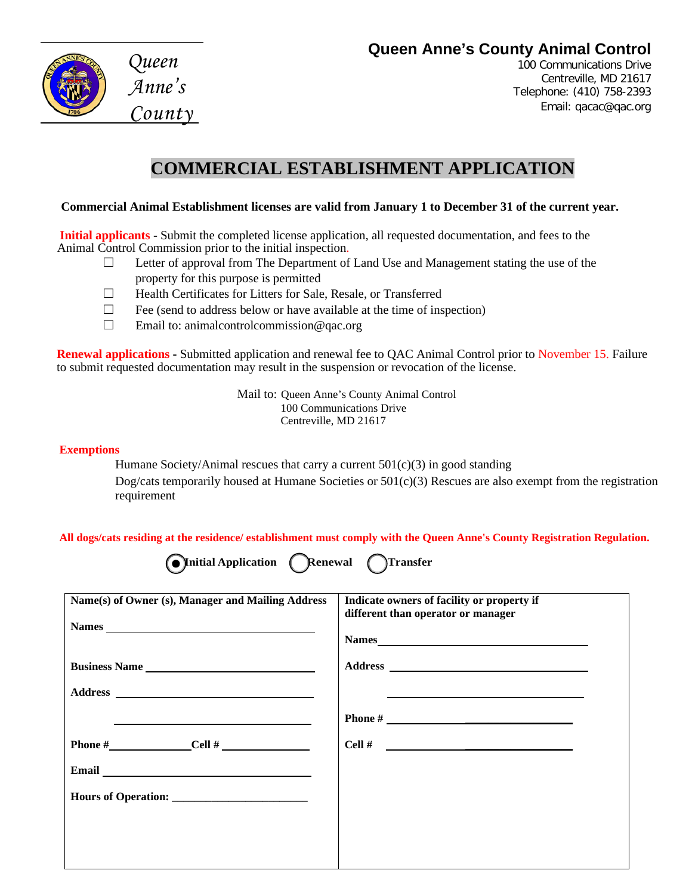### **Queen Anne's County Animal Control**



*Queen Anne's County* 

100 Communications Drive Centreville, MD 21617 Telephone: (410) 758-2393 Email: [qacac@qac.org](mailto:qacac@qac.org)

# **COMMERCIAL ESTABLISHMENT APPLICATION**

#### **Commercial Animal Establishment licenses are valid from January 1 to December 31 of the current year.**

**Initial applicants** - Submit the completed license application, all requested documentation, and fees to the Animal Control Commission prior to the initial inspection.

- $\Box$  Letter of approval from The Department of Land Use and Management stating the use of the property for this purpose is permitted
- ☐ Health Certificates for Litters for Sale, Resale, or Transferred
- $\Box$  Fee (send to address below or have available at the time of inspection)
- $\Box$  Email to: [animalcontrolcommission@qac.org](mailto:animalcontrolcommission@qac.org)

**Renewal applications -** Submitted application and renewal fee to QAC Animal Control prior to November 15. Failure to submit requested documentation may result in the suspension or revocation of the license.

> Mail to: Queen Anne's County Animal Control 100 Communications Drive Centreville, MD 21617

#### **Exemptions**

Humane Society/Animal rescues that carry a current  $501(c)(3)$  in good standing

Dog/cats temporarily housed at Humane Societies or  $501(c)(3)$  Rescues are also exempt from the registration requirement

**All dogs/cats residing at the residence/ establishment must comply with the Queen Anne's County Registration Regulation.**

| <b>Onitial Application CRenewa</b> |  |
|------------------------------------|--|
|------------------------------------|--|

**□ Initial Application □ Renewal Transfer**

| Name(s) of Owner (s), Manager and Mailing Address                                                                                                                                                                                    | Indicate owners of facility or property if<br>different than operator or manager<br>Names |
|--------------------------------------------------------------------------------------------------------------------------------------------------------------------------------------------------------------------------------------|-------------------------------------------------------------------------------------------|
| <b>Business Name</b>                                                                                                                                                                                                                 |                                                                                           |
|                                                                                                                                                                                                                                      |                                                                                           |
| <u>and the state of the state of the state of the state of the state of the state of the state of the state of the state of the state of the state of the state of the state of the state of the state of the state of the state</u> |                                                                                           |
| Phone $\#$ Cell $\#$                                                                                                                                                                                                                 |                                                                                           |
| Email <u>Email</u>                                                                                                                                                                                                                   |                                                                                           |
|                                                                                                                                                                                                                                      |                                                                                           |
|                                                                                                                                                                                                                                      |                                                                                           |
|                                                                                                                                                                                                                                      |                                                                                           |
|                                                                                                                                                                                                                                      |                                                                                           |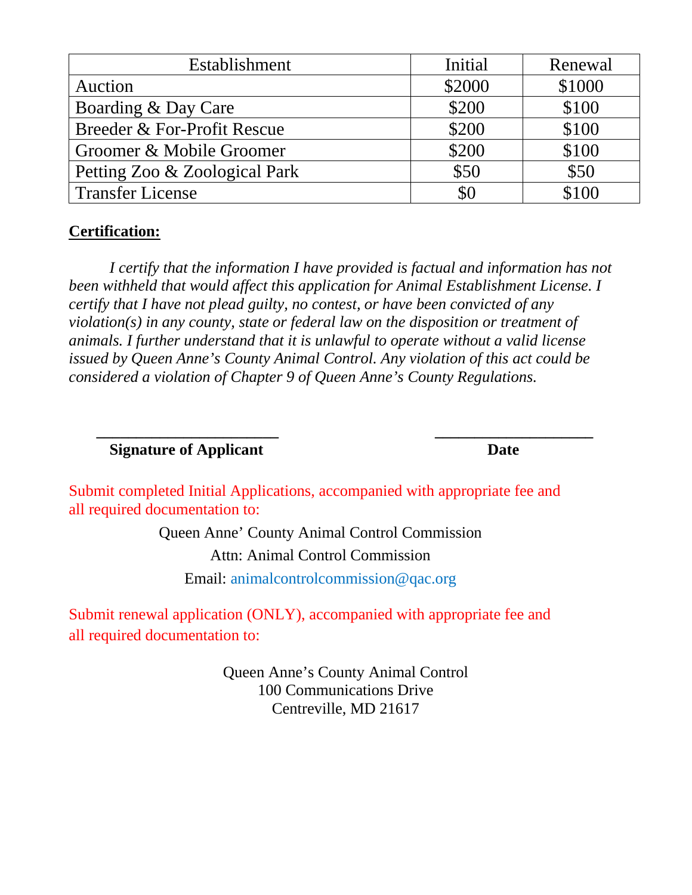| Establishment                 | Initial | Renewal |
|-------------------------------|---------|---------|
| Auction                       | \$2000  | \$1000  |
| Boarding & Day Care           | \$200   | \$100   |
| Breeder & For-Profit Rescue   | \$200   | \$100   |
| Groomer & Mobile Groomer      | \$200   | \$100   |
| Petting Zoo & Zoological Park | \$50    | \$50    |
| <b>Transfer License</b>       | \$0     | \$100   |

### **Certification:**

*I certify that the information I have provided is factual and information has not*  been withheld that would affect this application for Animal Establishment License. I *certify that I have not plead guilty, no contest, or have been convicted of any violation(s) in any county, state or federal law on the disposition or treatment of animals. I further understand that it is unlawful to operate without a valid license issued by Queen Anne's County Animal Control. Any violation of this act could be considered a violation of Chapter 9 of Queen Anne's County Regulations.*

## **Signature of Applicant Date**

Submit completed Initial Applications, accompanied with appropriate fee and all required documentation to:

 **\_\_\_\_\_\_\_\_\_\_\_\_\_\_\_\_\_\_\_\_\_\_\_ \_\_\_\_\_\_\_\_\_\_\_\_\_\_\_\_\_\_\_\_**

Queen Anne' County Animal Control Commission Attn: Animal Control Commission Email: animalcontrolcommission@qac.org

Submit renewal application (ONLY), accompanied with appropriate fee and all required documentation to:

> Queen Anne's County Animal Control 100 Communications Drive Centreville, MD 21617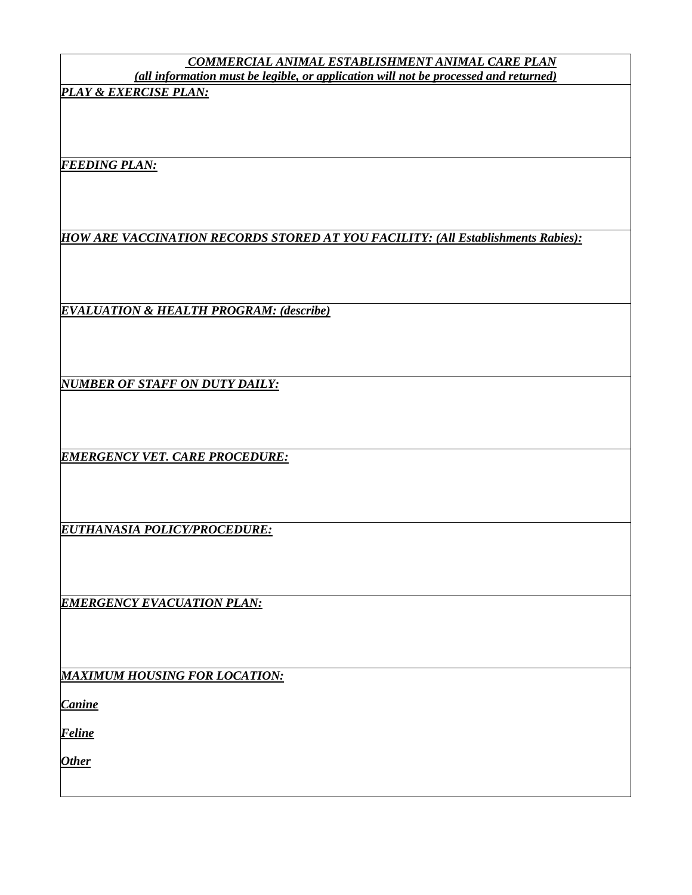#### *COMMERCIAL ANIMAL ESTABLISHMENT ANIMAL CARE PLAN (all information must be legible, or application will not be processed and returned)*

*PLAY & EXERCISE PLAN:*

*FEEDING PLAN:*

*HOW ARE VACCINATION RECORDS STORED AT YOU FACILITY: (All Establishments Rabies):*

*EVALUATION & HEALTH PROGRAM: (describe)*

*NUMBER OF STAFF ON DUTY DAILY:*

*EMERGENCY VET. CARE PROCEDURE:*

*EUTHANASIA POLICY/PROCEDURE:*

*EMERGENCY EVACUATION PLAN:*

*MAXIMUM HOUSING FOR LOCATION:*

*Canine*

*Feline*

*Other*